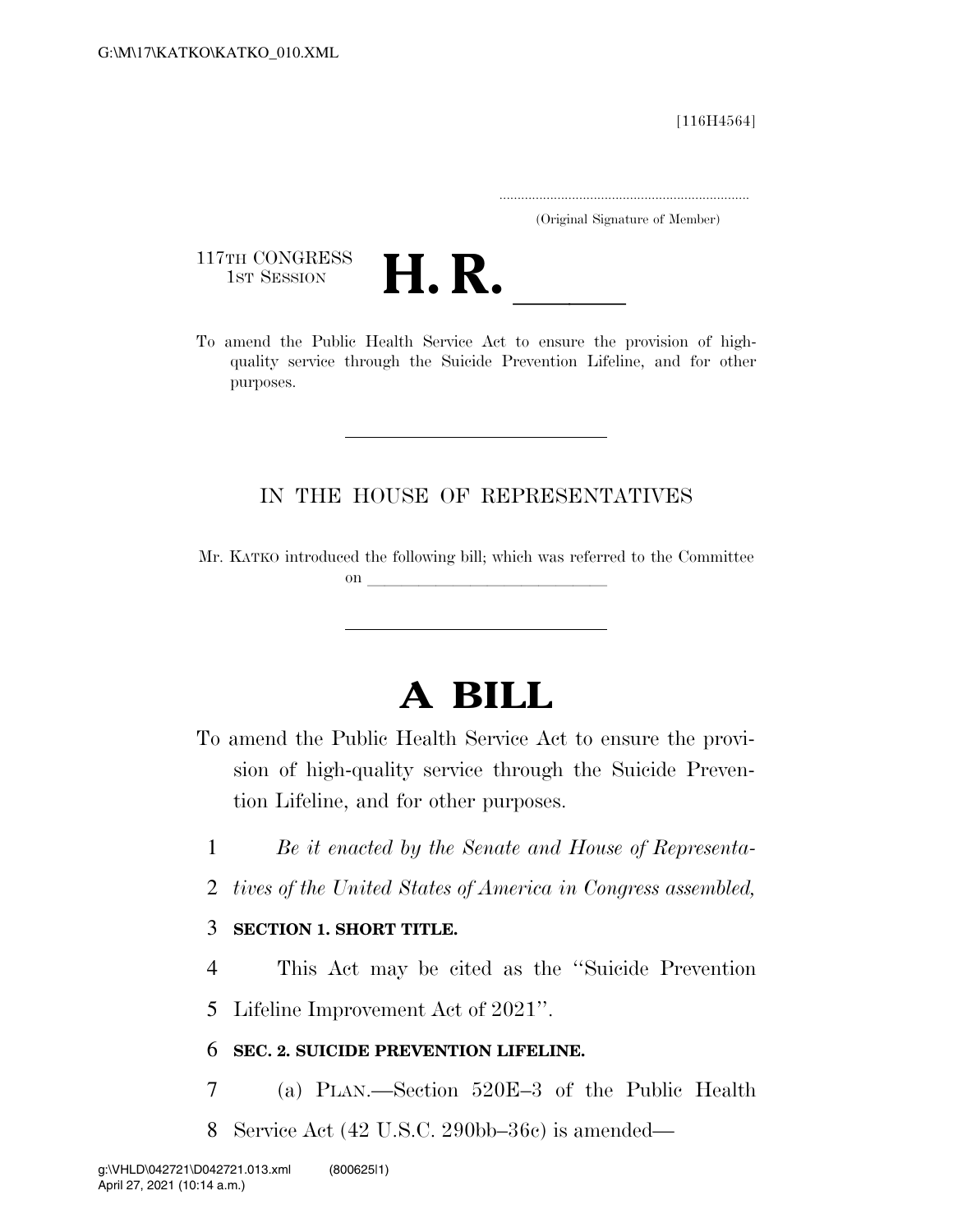[116H4564]

.....................................................................

(Original Signature of Member)

117TH CONGRESS<br>1st Session



117TH CONGRESS<br>1st SESSION<br>To amend the Public Health Service Act to ensure the provision of highquality service through the Suicide Prevention Lifeline, and for other purposes.

## IN THE HOUSE OF REPRESENTATIVES

Mr. KATKO introduced the following bill; which was referred to the Committee on  $\overline{\qquad \qquad }$ 

# **A BILL**

- To amend the Public Health Service Act to ensure the provision of high-quality service through the Suicide Prevention Lifeline, and for other purposes.
	- 1 *Be it enacted by the Senate and House of Representa-*
	- 2 *tives of the United States of America in Congress assembled,*

## 3 **SECTION 1. SHORT TITLE.**

4 This Act may be cited as the ''Suicide Prevention

5 Lifeline Improvement Act of 2021''.

## 6 **SEC. 2. SUICIDE PREVENTION LIFELINE.**

- 7 (a) PLAN.—Section 520E–3 of the Public Health
- 8 Service Act (42 U.S.C. 290bb–36c) is amended—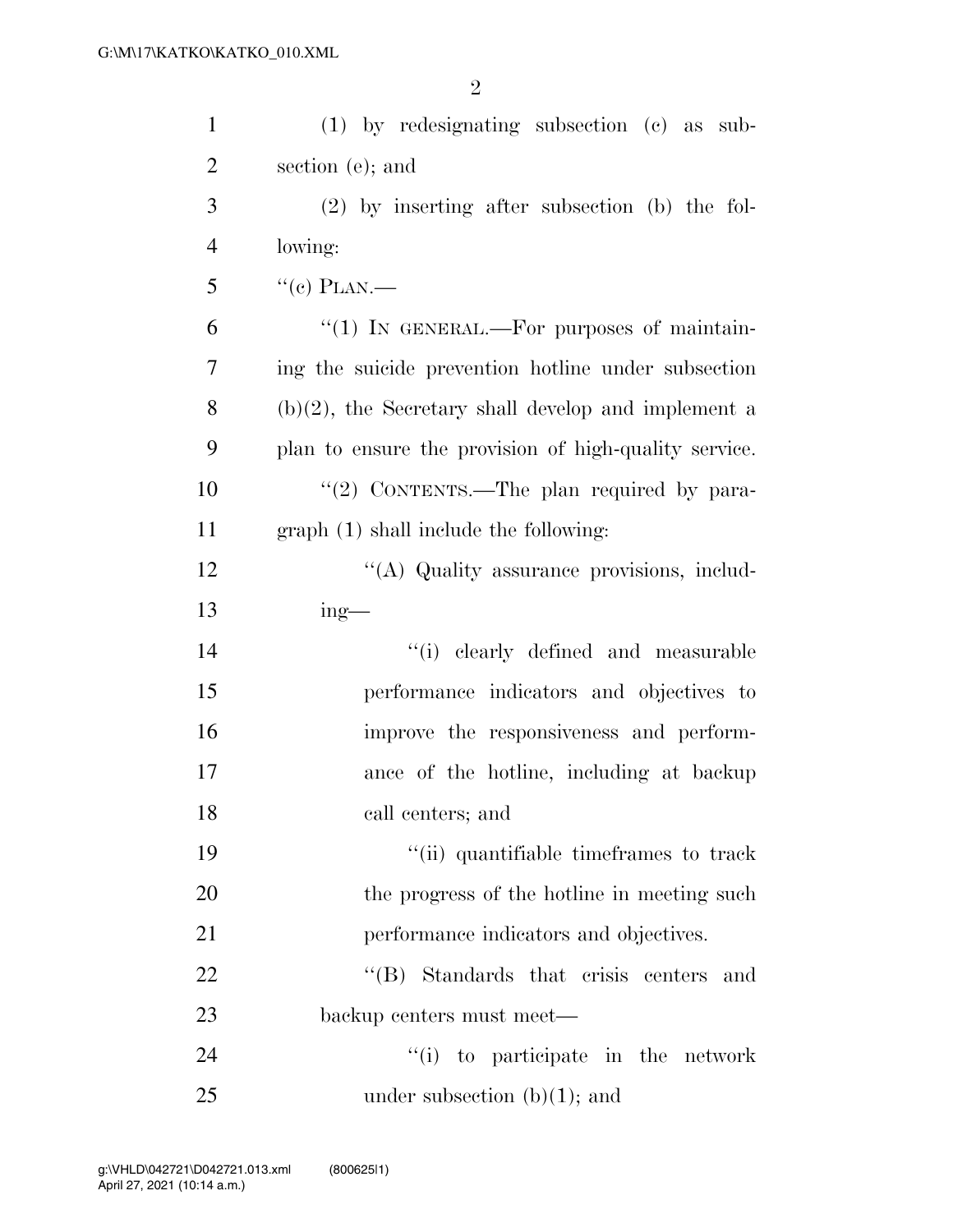| $\mathbf{1}$   | (1) by redesignating subsection (c) as sub-            |
|----------------|--------------------------------------------------------|
| $\overline{2}$ | section (e); and                                       |
| 3              | $(2)$ by inserting after subsection (b) the fol-       |
| 4              | lowing:                                                |
| 5              | $``(e)$ PLAN.—                                         |
| 6              | "(1) IN GENERAL.—For purposes of maintain-             |
| 7              | ing the suicide prevention hot line under subsection   |
| 8              | $(b)(2)$ , the Secretary shall develop and implement a |
| 9              | plan to ensure the provision of high-quality service.  |
| 10             | "(2) CONTENTS.—The plan required by para-              |
| 11             | graph (1) shall include the following:                 |
| 12             | "(A) Quality assurance provisions, includ-             |
| 13             | $ing$ —                                                |
| 14             | "(i) clearly defined and measurable                    |
|                |                                                        |
| 15             | performance indicators and objectives to               |
| 16             | improve the responsiveness and perform-                |
| 17             | ance of the hotline, including at backup               |
| 18             | call centers; and                                      |
| 19             | "(ii) quantifiable timeframes to track                 |
| 20             | the progress of the hotline in meeting such            |
| 21             | performance indicators and objectives.                 |
| 22             | "(B) Standards that crisis centers and                 |
| 23             | backup centers must meet—                              |
| 24             | "(i) to participate in the network                     |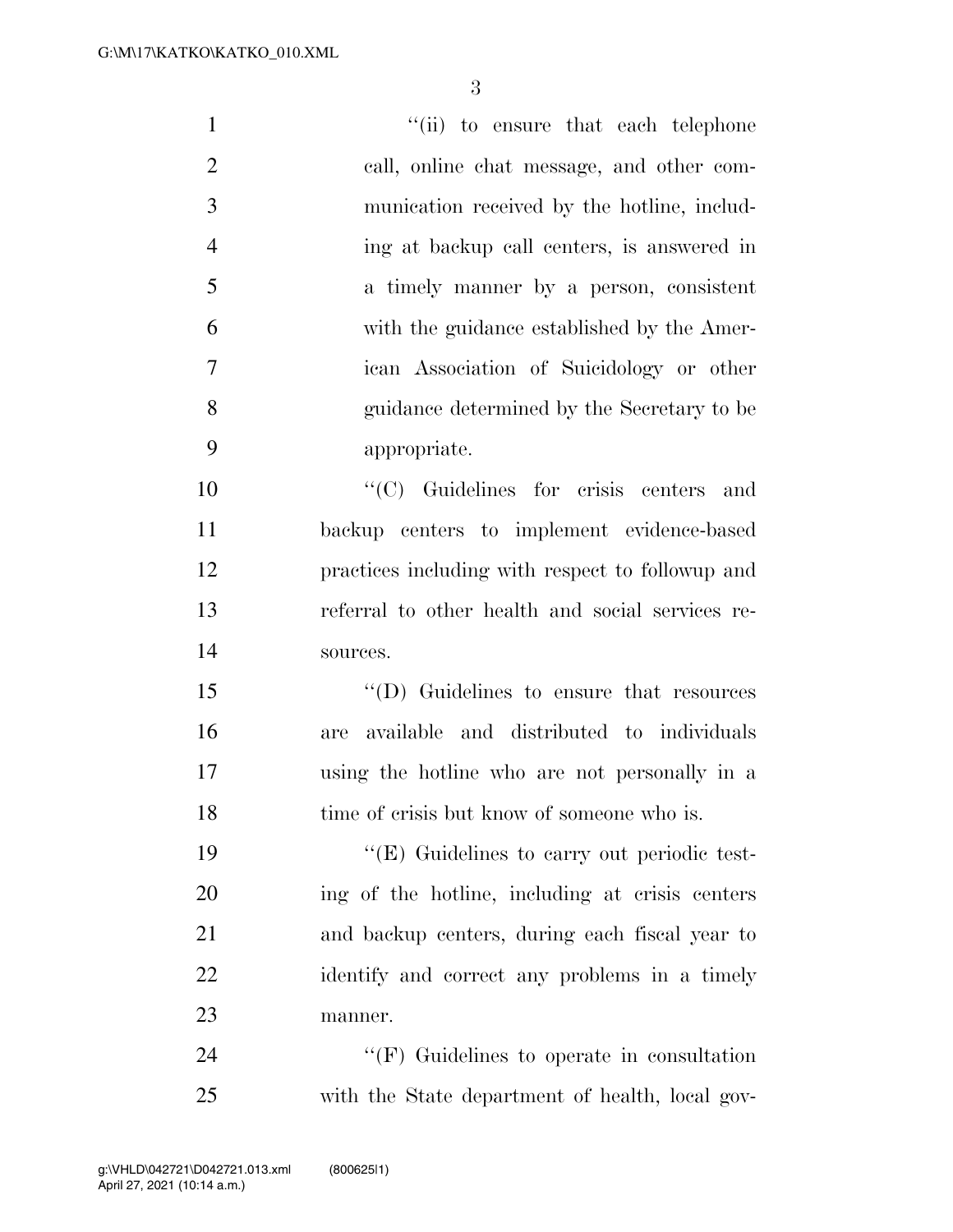1 ''(ii) to ensure that each telephone call, online chat message, and other com- munication received by the hotline, includ- ing at backup call centers, is answered in a timely manner by a person, consistent with the guidance established by the Amer- ican Association of Suicidology or other guidance determined by the Secretary to be appropriate. ''(C) Guidelines for crisis centers and backup centers to implement evidence-based practices including with respect to followup and referral to other health and social services re- sources. ''(D) Guidelines to ensure that resources are available and distributed to individuals using the hotline who are not personally in a 18 time of crisis but know of someone who is.  $((E)$  Guidelines to carry out periodic test- ing of the hotline, including at crisis centers and backup centers, during each fiscal year to 22 identify and correct any problems in a timely manner.

24 "'(F) Guidelines to operate in consultation with the State department of health, local gov-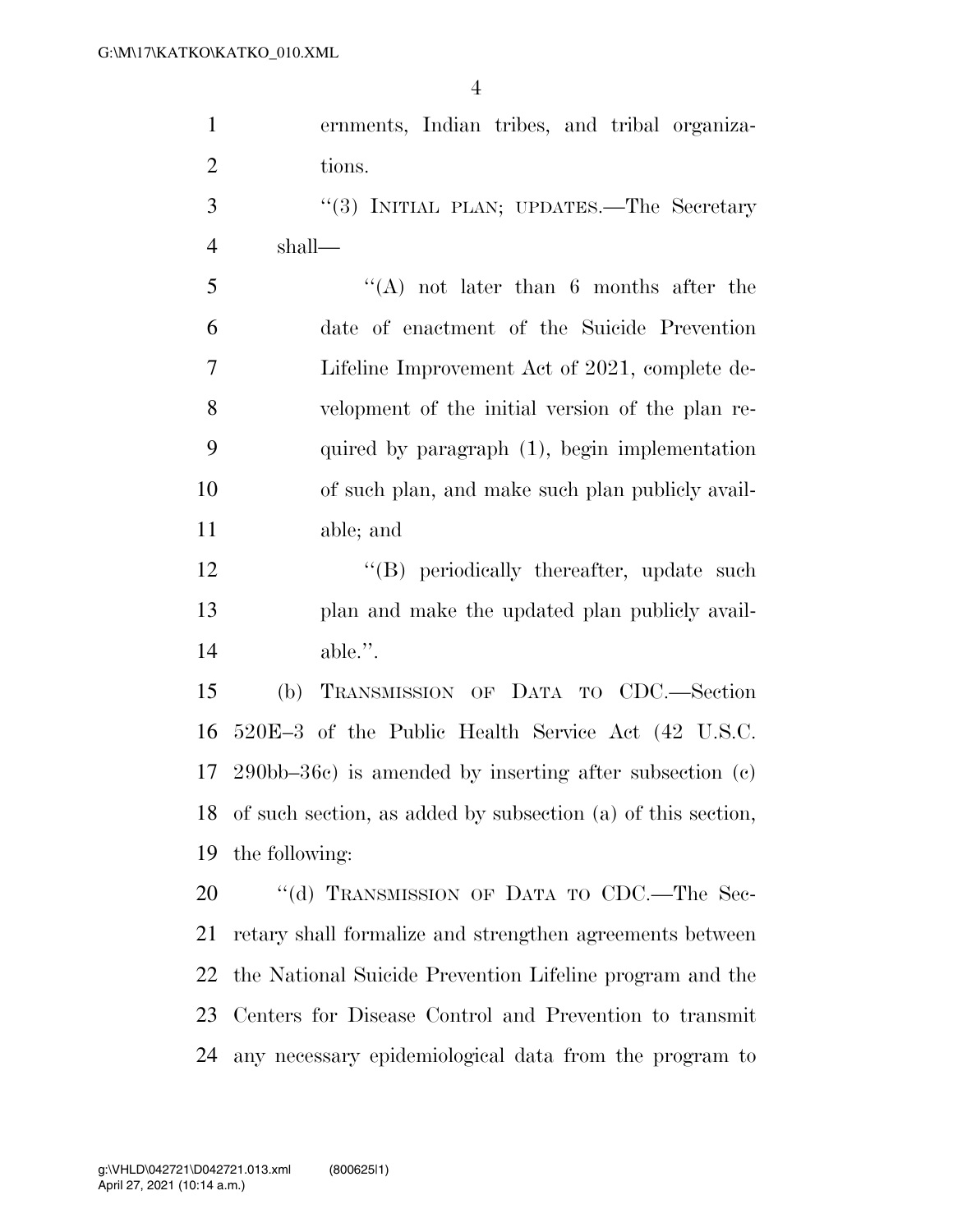| $\mathbf{1}$   | ernments, Indian tribes, and tribal organiza-                   |
|----------------|-----------------------------------------------------------------|
| $\overline{2}$ | tions.                                                          |
| 3              | "(3) INITIAL PLAN; UPDATES.—The Secretary                       |
| $\overline{4}$ | shall—                                                          |
| 5              | $\lq\lq$ not later than 6 months after the                      |
| 6              | date of enactment of the Suicide Prevention                     |
| $\overline{7}$ | Lifeline Improvement Act of 2021, complete de-                  |
| 8              | velopment of the initial version of the plan re-                |
| 9              | quired by paragraph (1), begin implementation                   |
| 10             | of such plan, and make such plan publicly avail-                |
| 11             | able; and                                                       |
| 12             | "(B) periodically thereafter, update such                       |
| 13             | plan and make the updated plan publicly avail-                  |
| 14             | $able.$ ".                                                      |
| 15             | TRANSMISSION OF DATA TO CDC.-Section<br>(b)                     |
| 16             | 520E-3 of the Public Health Service Act (42 U.S.C.              |
| 17             | $290bb-36c$ is amended by inserting after subsection (c)        |
|                | 18 of such section, as added by subsection (a) of this section, |
| 19             | the following:                                                  |
| 20             | "(d) TRANSMISSION OF DATA TO CDC.—The Sec-                      |
| 21             | retary shall formalize and strengthen agreements between        |
| 22             | the National Suicide Prevention Lifeline program and the        |
| 23             | Centers for Disease Control and Prevention to transmit          |

any necessary epidemiological data from the program to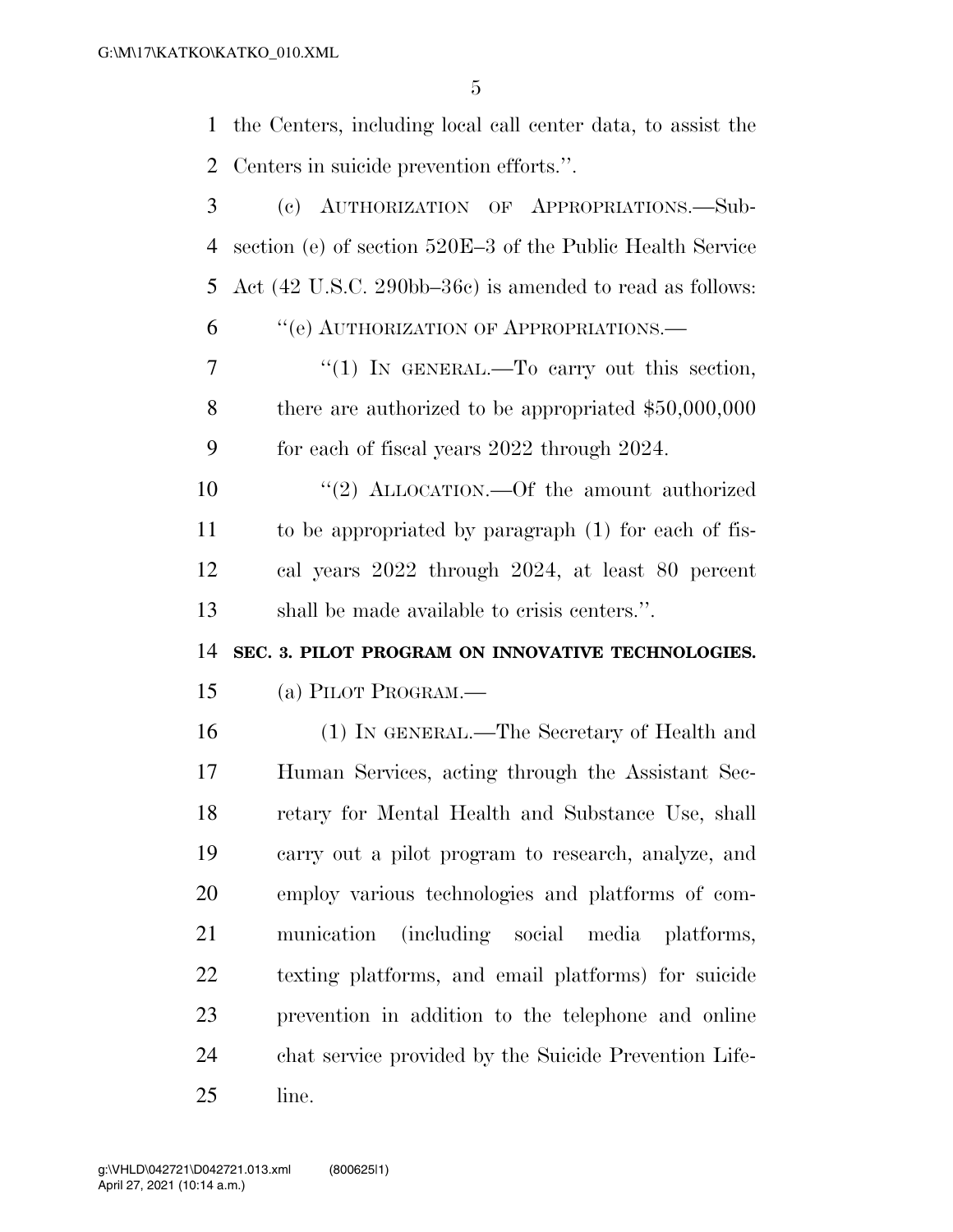the Centers, including local call center data, to assist the Centers in suicide prevention efforts.''.

| 3  | AUTHORIZATION OF APPROPRIATIONS.-Sub-<br>(e)                                          |
|----|---------------------------------------------------------------------------------------|
| 4  | section (e) of section 520E-3 of the Public Health Service                            |
| 5  | Act $(42 \text{ U.S.C. } 290 \text{bb} - 36 \text{c})$ is amended to read as follows: |
| 6  | "(e) AUTHORIZATION OF APPROPRIATIONS.—                                                |
| 7  | "(1) IN GENERAL.—To carry out this section,                                           |
| 8  | there are authorized to be appropriated $$50,000,000$                                 |
| 9  | for each of fiscal years 2022 through 2024.                                           |
| 10 | "(2) ALLOCATION.—Of the amount authorized                                             |
| 11 | to be appropriated by paragraph (1) for each of fis-                                  |
| 12 | cal years 2022 through 2024, at least 80 percent                                      |
| 13 | shall be made available to crisis centers.".                                          |
| 14 | SEC. 3. PILOT PROGRAM ON INNOVATIVE TECHNOLOGIES.                                     |
| 15 | (a) PILOT PROGRAM.—                                                                   |
| 16 | (1) IN GENERAL.—The Secretary of Health and                                           |
| 17 | Human Services, acting through the Assistant Sec-                                     |
| 18 | retary for Mental Health and Substance Use, shall                                     |
| 19 |                                                                                       |
|    | carry out a pilot program to research, analyze, and                                   |
| 20 | employ various technologies and platforms of com-                                     |
| 21 | (including social media platforms,<br>munication                                      |
| 22 | texting platforms, and email platforms) for suicide                                   |
| 23 | prevention in addition to the telephone and online                                    |
| 24 | chat service provided by the Suicide Prevention Life-                                 |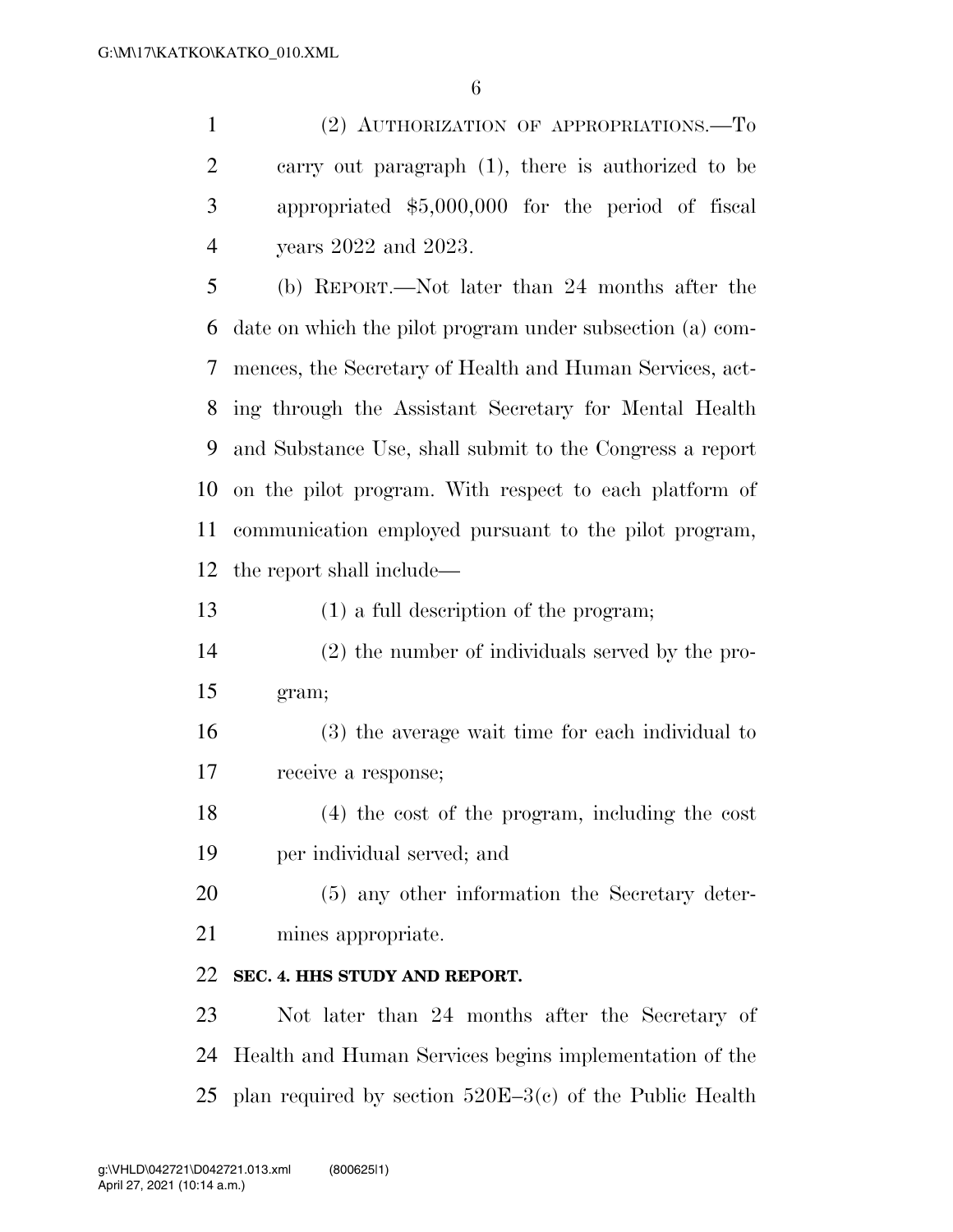(2) AUTHORIZATION OF APPROPRIATIONS.—To carry out paragraph (1), there is authorized to be appropriated \$5,000,000 for the period of fiscal years 2022 and 2023.

 (b) REPORT.—Not later than 24 months after the date on which the pilot program under subsection (a) com- mences, the Secretary of Health and Human Services, act- ing through the Assistant Secretary for Mental Health and Substance Use, shall submit to the Congress a report on the pilot program. With respect to each platform of communication employed pursuant to the pilot program, the report shall include—

(1) a full description of the program;

- (2) the number of individuals served by the pro-gram;
- (3) the average wait time for each individual to receive a response;
- (4) the cost of the program, including the cost per individual served; and

 (5) any other information the Secretary deter-mines appropriate.

## **SEC. 4. HHS STUDY AND REPORT.**

 Not later than 24 months after the Secretary of Health and Human Services begins implementation of the plan required by section 520E–3(c) of the Public Health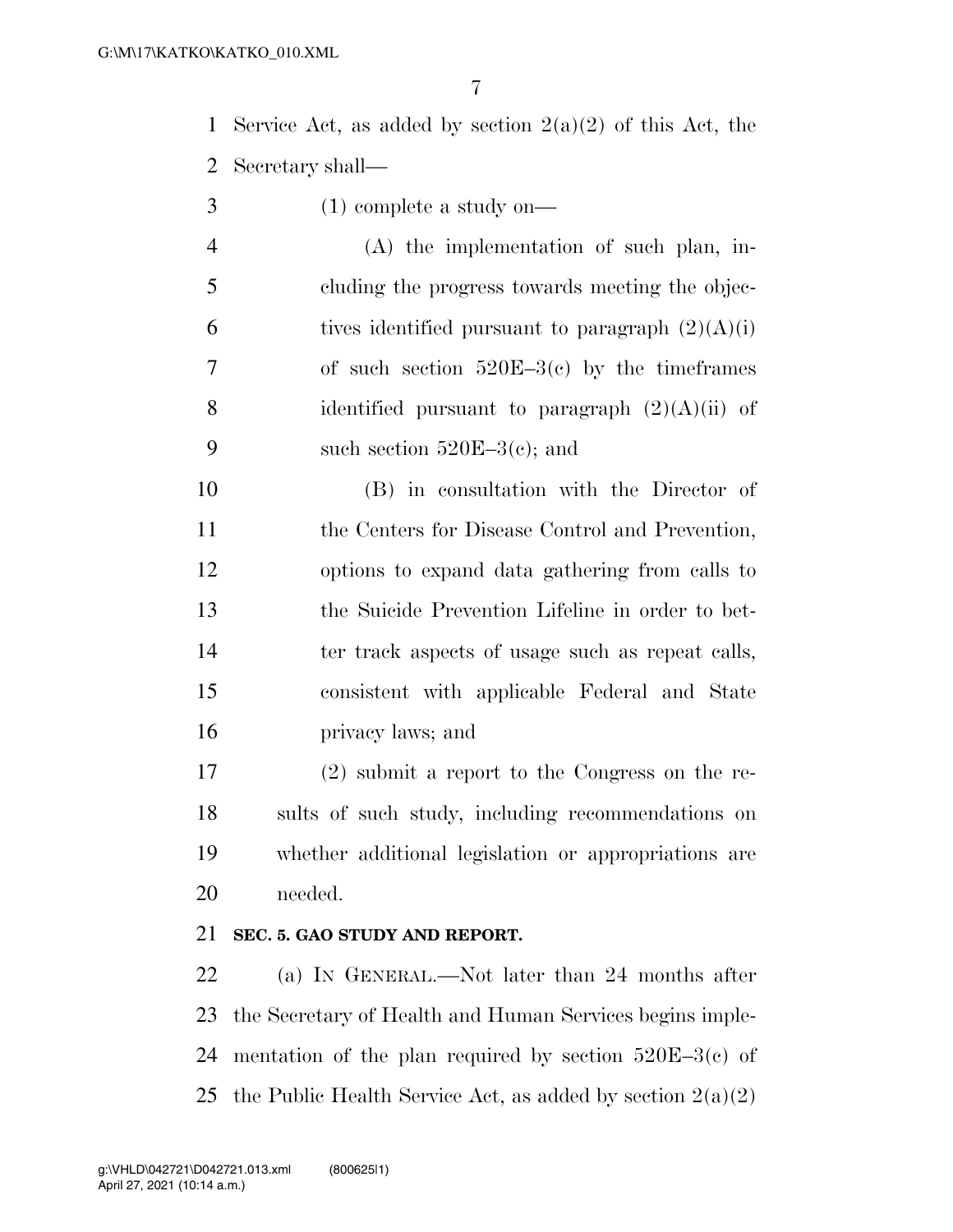1 Service Act, as added by section  $2(a)(2)$  of this Act, the Secretary shall—

- (1) complete a study on—
- (A) the implementation of such plan, in- cluding the progress towards meeting the objec-6 tives identified pursuant to paragraph  $(2)(A)(i)$  of such section 520E–3(c) by the timeframes 8 identified pursuant to paragraph  $(2)(A)(ii)$  of 9 such section  $520E-3(c)$ ; and

 (B) in consultation with the Director of 11 the Centers for Disease Control and Prevention, options to expand data gathering from calls to the Suicide Prevention Lifeline in order to bet-14 ter track aspects of usage such as repeat calls, consistent with applicable Federal and State privacy laws; and

 (2) submit a report to the Congress on the re- sults of such study, including recommendations on whether additional legislation or appropriations are needed.

#### **SEC. 5. GAO STUDY AND REPORT.**

 (a) IN GENERAL.—Not later than 24 months after the Secretary of Health and Human Services begins imple-24 mentation of the plan required by section  $520E-3(c)$  of 25 the Public Health Service Act, as added by section  $2(a)(2)$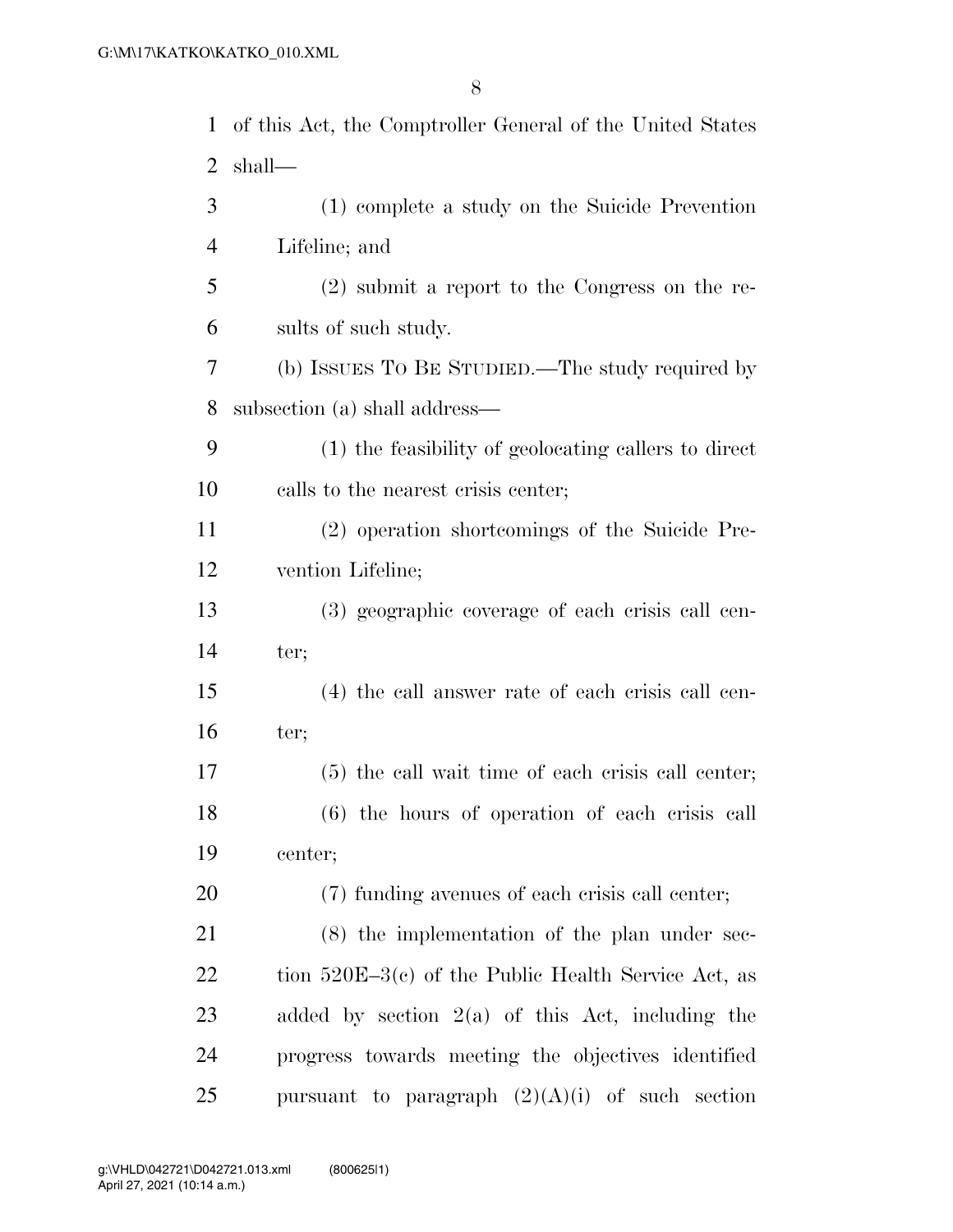| $\mathbf{1}$   | of this Act, the Comptroller General of the United States |
|----------------|-----------------------------------------------------------|
| 2              | shall—                                                    |
| 3              | (1) complete a study on the Suicide Prevention            |
| $\overline{4}$ | Lifeline; and                                             |
| 5              | $(2)$ submit a report to the Congress on the re-          |
| 6              | sults of such study.                                      |
| 7              | (b) ISSUES TO BE STUDIED.—The study required by           |
| 8              | subsection (a) shall address—                             |
| 9              | (1) the feasibility of geolocating callers to direct      |
| 10             | calls to the nearest crisis center;                       |
| 11             | (2) operation shortcomings of the Suicide Pre-            |
| 12             | vention Lifeline;                                         |
| 13             | (3) geographic coverage of each crisis call cen-          |
| 14             | ter;                                                      |
| 15             | (4) the call answer rate of each crisis call cen-         |
| 16             | ter;                                                      |
| 17             | $(5)$ the call wait time of each crisis call center;      |
| 18             | $(6)$ the hours of operation of each crisis call          |
| 19             | center;                                                   |
| 20             | (7) funding avenues of each crisis call center;           |
| 21             | $(8)$ the implementation of the plan under sec-           |
| 22             | tion $520E-3(c)$ of the Public Health Service Act, as     |
| 23             | added by section $2(a)$ of this Act, including the        |
| 24             | progress towards meeting the objectives identified        |
| 25             | pursuant to paragraph $(2)(A)(i)$ of such section         |